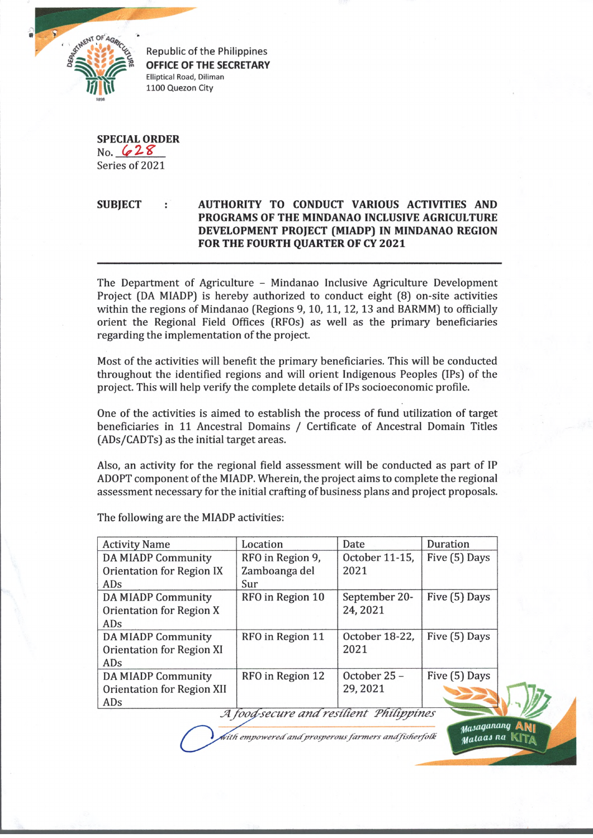

Republic of the Philippines **OFFICE OF THE SECRETARY** Elliptical Road, Diliman 1100 Quezon City

**SPECIAL ORDER** No.  $628$ Series of 2021

## **SUBJECT : AUTHORITY TO CONDUCT VARIOUS ACTIVITIES AND PROGRAMS OF THE MINDANAO INCLUSIVE AGRICULTURE DEVELOPMENT PROJECT (MIADP) IN MINDANAO REGION FOR THE FOURTH QUARTER OF CY 2021**

The Department of Agriculture - Mindanao Inclusive Agriculture Development Project (DA MIADP) is hereby authorized to conduct eight (8) on-site activities within the regions of Mindanao (Regions 9, 10, 11, 12, 13 and BARMM) to officially orient the Regional Field Offices (RFOs) as well as the primary beneficiaries regarding the implementation of the project.

Most of the activities will benefit the primary beneficiaries. This will be conducted throughout the identified regions and will orient Indigenous Peoples (IPs) of the project. This will help verify the complete details of IPs socioeconomic profile.

One of the activities is aimed to establish the process of fund utilization of target beneficiaries in 11 Ancestral Domains / Certificate of Ancestral Domain Titles (ADs/CADTs) as the initial target areas.

Also, an activity for the regional field assessment will be conducted as part of IP ADOPT component of the MIADP. Wherein, the project aims to complete the regional assessment necessary for the initial crafting of business plans and project proposals.

Activity Name Location Date Duration October 11-15, Five (5) Days DA MIADP Community RFO in Region 9, Orientation for Region IX Zamboanga del 2021 ADs Sur RFO in Region 10 September 20- Five (5) Days DA MIADP Community Orientation for Region X 24,2021 ADs DA MIADP Community RFO in Region 11 October 18-22, Five (5) Days 2021 Orientation for Region XI ADs DA MIADP Community RFO in Region 12 October 25 - Five (5) Days 29,2021 Orientation for Region XII ADs A food-secure and resilient Philippines

The following are the MIADP activities:

*•itfi empcnverecfantfprrosperousfarmers anffisfier/ofk*

 $\mu_a$ saganang jjffltaaJ *na* **w-ra,**